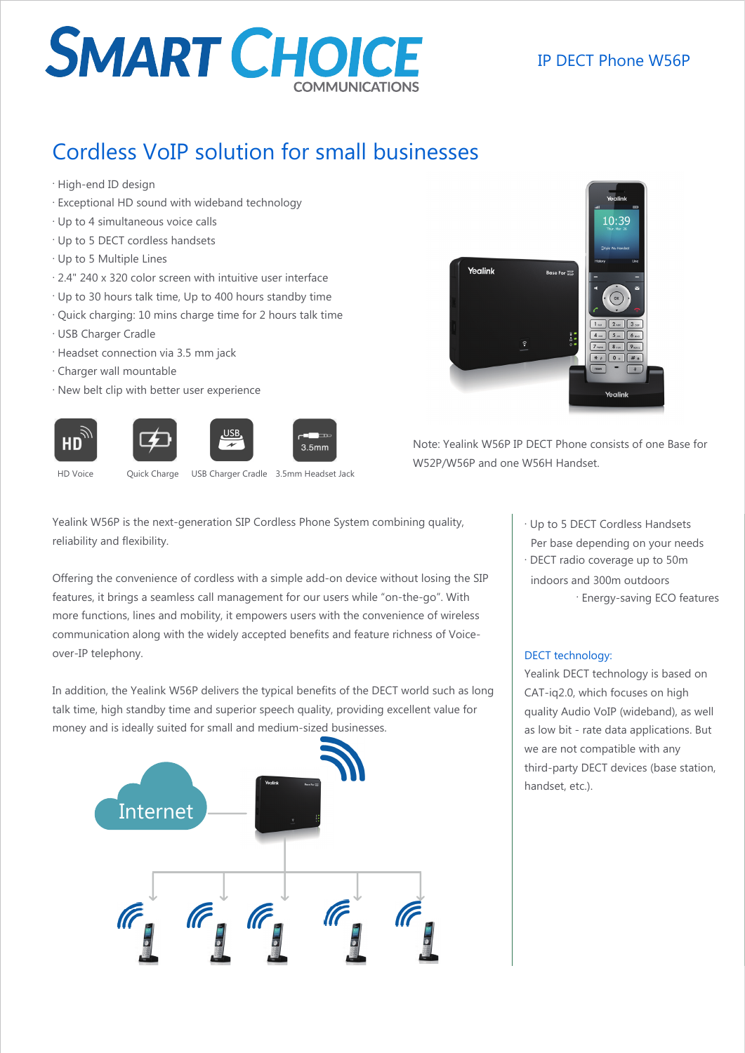## **SMART CHOICE**

## Cordless VoIP solution for small businesses

- . High-end ID design
- . Exceptional HD sound with wideband technology
- . Up to 4 simultaneous voice calls
- . Up to 5 DECT cordless handsets
- . Up to 5 Multiple Lines
- . 2.4" 240 x 320 color screen with intuitive user interface
- . Up to 30 hours talk time, Up to 400 hours standby time
- . Quick charging: 10 mins charge time for 2 hours talk time
- . USB Charger Cradle
- . Headset connection via 3.5 mm jack
- . Charger wall mountable
- . New belt clip with better user experience



Note: Yealink W56P IP DECT Phone consists of one Base for W52P/W56P and one W56H Handset.

HD

HD Voice **Quick Charge** USB Charger Cradle 3.5mm Headset Jack

Yealink W56P is the next-generation SIP Cordless Phone System combining quality, reliability and flexibility.

 $3.5<sub>mm</sub>$ 

Offering the convenience of cordless with a simple add-on device without losing the SIP features, it brings a seamless call management for our users while "on-the-go". With more functions, lines and mobility, it empowers users with the convenience of wireless communication along with the widely accepted benefits and feature richness of Voiceover-IP telephony.

In addition, the Yealink W56P delivers the typical benefits of the DECT world such as long talk time, high standby time and superior speech quality, providing excellent value for money and is ideally suited for small and medium-sized businesses.



. Up to 5 DECT Cordless Handsets Per base depending on your needs

. DECT radio coverage up to 50m indoors and 300m outdoors . Energy-saving ECO features

### DECT technology:

Yealink DECT technology is based on CAT-iq2.0, which focuses on high quality Audio VoIP (wideband), as well as low bit - rate data applications. But we are not compatible with any third-party DECT devices (base station, handset, etc.).